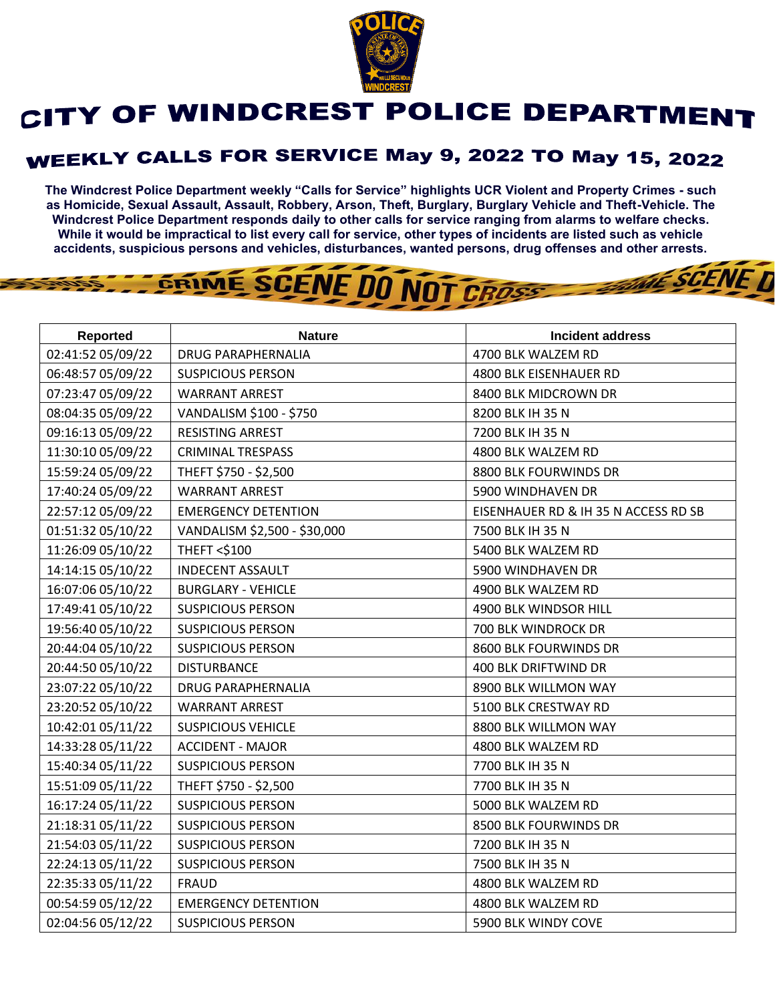

## CITY OF WINDCREST POLICE DEPARTMENT

## **WEEKLY CALLS FOR SERVICE May 9, 2022 TO May 15, 2022**

**The Windcrest Police Department weekly "Calls for Service" highlights UCR Violent and Property Crimes - such as Homicide, Sexual Assault, Assault, Robbery, Arson, Theft, Burglary, Burglary Vehicle and Theft-Vehicle. The Windcrest Police Department responds daily to other calls for service ranging from alarms to welfare checks. While it would be impractical to list every call for service, other types of incidents are listed such as vehicle accidents, suspicious persons and vehicles, disturbances, wanted persons, drug offenses and other arrests.** 

**THE SCENE D** 

## GRIME SCENE DO NOT CROSS

| <b>Reported</b>   | <b>Nature</b>                | <b>Incident address</b>              |
|-------------------|------------------------------|--------------------------------------|
| 02:41:52 05/09/22 | <b>DRUG PARAPHERNALIA</b>    | 4700 BLK WALZEM RD                   |
| 06:48:57 05/09/22 | <b>SUSPICIOUS PERSON</b>     | 4800 BLK EISENHAUER RD               |
| 07:23:47 05/09/22 | <b>WARRANT ARREST</b>        | 8400 BLK MIDCROWN DR                 |
| 08:04:35 05/09/22 | VANDALISM \$100 - \$750      | 8200 BLK IH 35 N                     |
| 09:16:13 05/09/22 | <b>RESISTING ARREST</b>      | 7200 BLK IH 35 N                     |
| 11:30:10 05/09/22 | <b>CRIMINAL TRESPASS</b>     | 4800 BLK WALZEM RD                   |
| 15:59:24 05/09/22 | THEFT \$750 - \$2,500        | 8800 BLK FOURWINDS DR                |
| 17:40:24 05/09/22 | <b>WARRANT ARREST</b>        | 5900 WINDHAVEN DR                    |
| 22:57:12 05/09/22 | <b>EMERGENCY DETENTION</b>   | EISENHAUER RD & IH 35 N ACCESS RD SB |
| 01:51:32 05/10/22 | VANDALISM \$2,500 - \$30,000 | 7500 BLK IH 35 N                     |
| 11:26:09 05/10/22 | THEFT <\$100                 | 5400 BLK WALZEM RD                   |
| 14:14:15 05/10/22 | <b>INDECENT ASSAULT</b>      | 5900 WINDHAVEN DR                    |
| 16:07:06 05/10/22 | <b>BURGLARY - VEHICLE</b>    | 4900 BLK WALZEM RD                   |
| 17:49:41 05/10/22 | <b>SUSPICIOUS PERSON</b>     | 4900 BLK WINDSOR HILL                |
| 19:56:40 05/10/22 | <b>SUSPICIOUS PERSON</b>     | 700 BLK WINDROCK DR                  |
| 20:44:04 05/10/22 | <b>SUSPICIOUS PERSON</b>     | 8600 BLK FOURWINDS DR                |
| 20:44:50 05/10/22 | <b>DISTURBANCE</b>           | 400 BLK DRIFTWIND DR                 |
| 23:07:22 05/10/22 | DRUG PARAPHERNALIA           | 8900 BLK WILLMON WAY                 |
| 23:20:52 05/10/22 | <b>WARRANT ARREST</b>        | 5100 BLK CRESTWAY RD                 |
| 10:42:01 05/11/22 | <b>SUSPICIOUS VEHICLE</b>    | 8800 BLK WILLMON WAY                 |
| 14:33:28 05/11/22 | <b>ACCIDENT - MAJOR</b>      | 4800 BLK WALZEM RD                   |
| 15:40:34 05/11/22 | <b>SUSPICIOUS PERSON</b>     | 7700 BLK IH 35 N                     |
| 15:51:09 05/11/22 | THEFT \$750 - \$2,500        | 7700 BLK IH 35 N                     |
| 16:17:24 05/11/22 | <b>SUSPICIOUS PERSON</b>     | 5000 BLK WALZEM RD                   |
| 21:18:31 05/11/22 | <b>SUSPICIOUS PERSON</b>     | 8500 BLK FOURWINDS DR                |
| 21:54:03 05/11/22 | <b>SUSPICIOUS PERSON</b>     | 7200 BLK IH 35 N                     |
| 22:24:13 05/11/22 | <b>SUSPICIOUS PERSON</b>     | 7500 BLK IH 35 N                     |
| 22:35:33 05/11/22 | <b>FRAUD</b>                 | 4800 BLK WALZEM RD                   |
| 00:54:59 05/12/22 | <b>EMERGENCY DETENTION</b>   | 4800 BLK WALZEM RD                   |
| 02:04:56 05/12/22 | <b>SUSPICIOUS PERSON</b>     | 5900 BLK WINDY COVE                  |